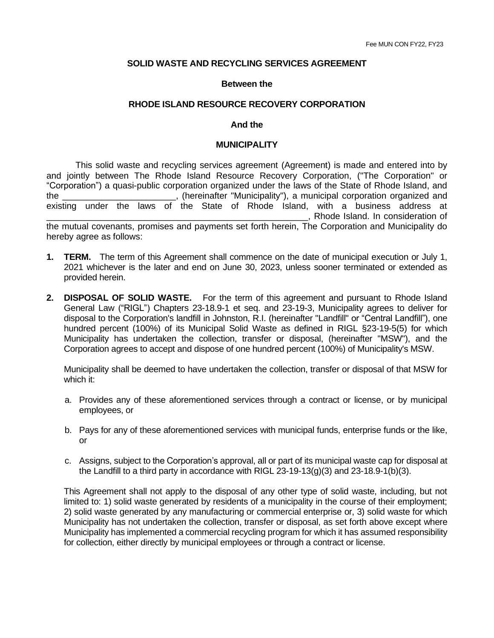## **SOLID WASTE AND RECYCLING SERVICES AGREEMENT**

## **Between the**

## **RHODE ISLAND RESOURCE RECOVERY CORPORATION**

#### **And the**

#### **MUNICIPALITY**

This solid waste and recycling services agreement (Agreement) is made and entered into by and jointly between The Rhode Island Resource Recovery Corporation, ("The Corporation" or "Corporation") a quasi-public corporation organized under the laws of the State of Rhode Island, and the \_\_\_\_\_\_\_\_\_\_\_\_\_\_\_\_\_\_\_\_\_\_\_, (hereinafter "Municipality"), a municipal corporation organized and existing under the laws of the State of Rhode Island, with a business address at \_\_\_\_\_\_\_\_\_\_\_\_\_\_\_\_\_\_\_\_\_\_\_\_\_\_\_\_\_\_\_\_\_\_\_\_\_\_\_\_\_\_\_\_\_\_\_\_\_\_\_\_\_, Rhode Island. In consideration of the mutual covenants, promises and payments set forth herein, The Corporation and Municipality do

hereby agree as follows:

- **1. TERM.** The term of this Agreement shall commence on the date of municipal execution or July 1, 2021 whichever is the later and end on June 30, 2023, unless sooner terminated or extended as provided herein.
- **2. DISPOSAL OF SOLID WASTE.** For the term of this agreement and pursuant to Rhode Island General Law ("RIGL") Chapters 23-18.9-1 et seq. and 23-19-3, Municipality agrees to deliver for disposal to the Corporation's landfill in Johnston, R.I. (hereinafter "Landfill" or "Central Landfill"), one hundred percent (100%) of its Municipal Solid Waste as defined in RIGL §23-19-5(5) for which Municipality has undertaken the collection, transfer or disposal, (hereinafter "MSW"), and the Corporation agrees to accept and dispose of one hundred percent (100%) of Municipality's MSW.

Municipality shall be deemed to have undertaken the collection, transfer or disposal of that MSW for which it:

- a. Provides any of these aforementioned services through a contract or license, or by municipal employees, or
- b. Pays for any of these aforementioned services with municipal funds, enterprise funds or the like, or
- c. Assigns, subject to the Corporation's approval, all or part of its municipal waste cap for disposal at the Landfill to a third party in accordance with RIGL  $23-19-13(q)(3)$  and  $23-18.9-1(b)(3)$ .

This Agreement shall not apply to the disposal of any other type of solid waste, including, but not limited to: 1) solid waste generated by residents of a municipality in the course of their employment; 2) solid waste generated by any manufacturing or commercial enterprise or, 3) solid waste for which Municipality has not undertaken the collection, transfer or disposal, as set forth above except where Municipality has implemented a commercial recycling program for which it has assumed responsibility for collection, either directly by municipal employees or through a contract or license.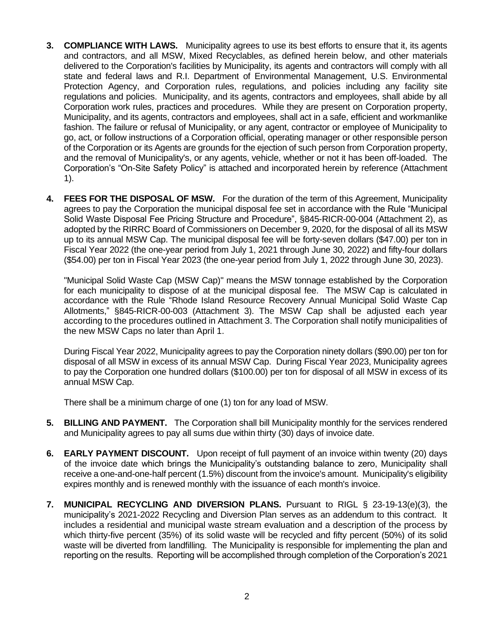- **3. COMPLIANCE WITH LAWS.** Municipality agrees to use its best efforts to ensure that it, its agents and contractors, and all MSW, Mixed Recyclables, as defined herein below, and other materials delivered to the Corporation's facilities by Municipality, its agents and contractors will comply with all state and federal laws and R.I. Department of Environmental Management, U.S. Environmental Protection Agency, and Corporation rules, regulations, and policies including any facility site regulations and policies. Municipality, and its agents, contractors and employees, shall abide by all Corporation work rules, practices and procedures. While they are present on Corporation property, Municipality, and its agents, contractors and employees, shall act in a safe, efficient and workmanlike fashion. The failure or refusal of Municipality, or any agent, contractor or employee of Municipality to go, act, or follow instructions of a Corporation official, operating manager or other responsible person of the Corporation or its Agents are grounds for the ejection of such person from Corporation property, and the removal of Municipality's, or any agents, vehicle, whether or not it has been off-loaded. The Corporation's "On-Site Safety Policy" is attached and incorporated herein by reference (Attachment 1).
- **4. FEES FOR THE DISPOSAL OF MSW.** For the duration of the term of this Agreement, Municipality agrees to pay the Corporation the municipal disposal fee set in accordance with the Rule "Municipal Solid Waste Disposal Fee Pricing Structure and Procedure", §845-RICR-00-004 (Attachment 2), as adopted by the RIRRC Board of Commissioners on December 9, 2020, for the disposal of all its MSW up to its annual MSW Cap. The municipal disposal fee will be forty-seven dollars (\$47.00) per ton in Fiscal Year 2022 (the one-year period from July 1, 2021 through June 30, 2022) and fifty-four dollars (\$54.00) per ton in Fiscal Year 2023 (the one-year period from July 1, 2022 through June 30, 2023).

"Municipal Solid Waste Cap (MSW Cap)" means the MSW tonnage established by the Corporation for each municipality to dispose of at the municipal disposal fee. The MSW Cap is calculated in accordance with the Rule "Rhode Island Resource Recovery Annual Municipal Solid Waste Cap Allotments," §845-RICR-00-003 (Attachment 3). The MSW Cap shall be adjusted each year according to the procedures outlined in Attachment 3. The Corporation shall notify municipalities of the new MSW Caps no later than April 1.

During Fiscal Year 2022, Municipality agrees to pay the Corporation ninety dollars (\$90.00) per ton for disposal of all MSW in excess of its annual MSW Cap. During Fiscal Year 2023, Municipality agrees to pay the Corporation one hundred dollars (\$100.00) per ton for disposal of all MSW in excess of its annual MSW Cap.

There shall be a minimum charge of one (1) ton for any load of MSW.

- **5. BILLING AND PAYMENT.** The Corporation shall bill Municipality monthly for the services rendered and Municipality agrees to pay all sums due within thirty (30) days of invoice date.
- **6. EARLY PAYMENT DISCOUNT.** Upon receipt of full payment of an invoice within twenty (20) days of the invoice date which brings the Municipality's outstanding balance to zero, Municipality shall receive a one-and-one-half percent (1.5%) discount from the invoice's amount. Municipality's eligibility expires monthly and is renewed monthly with the issuance of each month's invoice.
- **7. MUNICIPAL RECYCLING AND DIVERSION PLANS.** Pursuant to RIGL § 23-19-13(e)(3), the municipality's 2021-2022 Recycling and Diversion Plan serves as an addendum to this contract. It includes a residential and municipal waste stream evaluation and a description of the process by which thirty-five percent (35%) of its solid waste will be recycled and fifty percent (50%) of its solid waste will be diverted from landfilling. The Municipality is responsible for implementing the plan and reporting on the results. Reporting will be accomplished through completion of the Corporation's 2021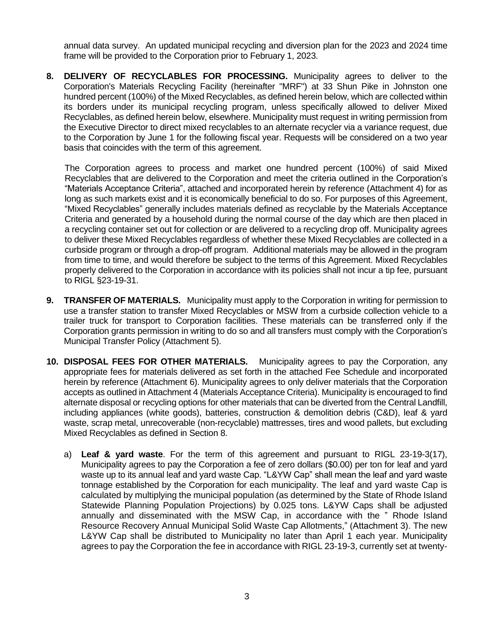annual data survey. An updated municipal recycling and diversion plan for the 2023 and 2024 time frame will be provided to the Corporation prior to February 1, 2023.

**8. DELIVERY OF RECYCLABLES FOR PROCESSING.** Municipality agrees to deliver to the Corporation's Materials Recycling Facility (hereinafter "MRF") at 33 Shun Pike in Johnston one hundred percent (100%) of the Mixed Recyclables, as defined herein below, which are collected within its borders under its municipal recycling program, unless specifically allowed to deliver Mixed Recyclables, as defined herein below, elsewhere. Municipality must request in writing permission from the Executive Director to direct mixed recyclables to an alternate recycler via a variance request, due to the Corporation by June 1 for the following fiscal year. Requests will be considered on a two year basis that coincides with the term of this agreement.

The Corporation agrees to process and market one hundred percent (100%) of said Mixed Recyclables that are delivered to the Corporation and meet the criteria outlined in the Corporation's "Materials Acceptance Criteria", attached and incorporated herein by reference (Attachment 4) for as long as such markets exist and it is economically beneficial to do so. For purposes of this Agreement, "Mixed Recyclables" generally includes materials defined as recyclable by the Materials Acceptance Criteria and generated by a household during the normal course of the day which are then placed in a recycling container set out for collection or are delivered to a recycling drop off. Municipality agrees to deliver these Mixed Recyclables regardless of whether these Mixed Recyclables are collected in a curbside program or through a drop-off program. Additional materials may be allowed in the program from time to time, and would therefore be subject to the terms of this Agreement. Mixed Recyclables properly delivered to the Corporation in accordance with its policies shall not incur a tip fee, pursuant to RIGL §23-19-31.

- **9. TRANSFER OF MATERIALS.** Municipality must apply to the Corporation in writing for permission to use a transfer station to transfer Mixed Recyclables or MSW from a curbside collection vehicle to a trailer truck for transport to Corporation facilities. These materials can be transferred only if the Corporation grants permission in writing to do so and all transfers must comply with the Corporation's Municipal Transfer Policy (Attachment 5).
- **10. DISPOSAL FEES FOR OTHER MATERIALS.** Municipality agrees to pay the Corporation, any appropriate fees for materials delivered as set forth in the attached Fee Schedule and incorporated herein by reference (Attachment 6). Municipality agrees to only deliver materials that the Corporation accepts as outlined in Attachment 4 (Materials Acceptance Criteria). Municipality is encouraged to find alternate disposal or recycling options for other materials that can be diverted from the Central Landfill, including appliances (white goods), batteries, construction & demolition debris (C&D), leaf & yard waste, scrap metal, unrecoverable (non-recyclable) mattresses, tires and wood pallets, but excluding Mixed Recyclables as defined in Section 8.
	- a) **Leaf & yard waste**. For the term of this agreement and pursuant to RIGL 23-19-3(17), Municipality agrees to pay the Corporation a fee of zero dollars (\$0.00) per ton for leaf and yard waste up to its annual leaf and yard waste Cap. "L&YW Cap" shall mean the leaf and yard waste tonnage established by the Corporation for each municipality. The leaf and yard waste Cap is calculated by multiplying the municipal population (as determined by the State of Rhode Island Statewide Planning Population Projections) by 0.025 tons. L&YW Caps shall be adjusted annually and disseminated with the MSW Cap, in accordance with the " Rhode Island Resource Recovery Annual Municipal Solid Waste Cap Allotments," (Attachment 3). The new L&YW Cap shall be distributed to Municipality no later than April 1 each year. Municipality agrees to pay the Corporation the fee in accordance with RIGL 23-19-3, currently set at twenty-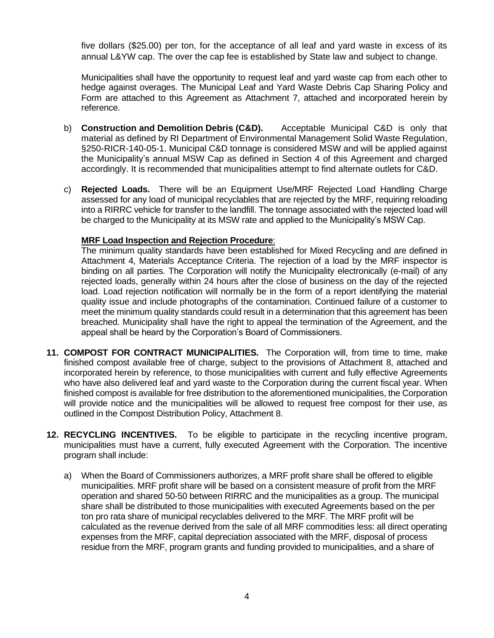five dollars (\$25.00) per ton, for the acceptance of all leaf and yard waste in excess of its annual L&YW cap. The over the cap fee is established by State law and subject to change.

Municipalities shall have the opportunity to request leaf and yard waste cap from each other to hedge against overages. The Municipal Leaf and Yard Waste Debris Cap Sharing Policy and Form are attached to this Agreement as Attachment 7, attached and incorporated herein by reference.

- b) **Construction and Demolition Debris (C&D).** Acceptable Municipal C&D is only that material as defined by RI Department of Environmental Management Solid Waste Regulation, §250-RICR-140-05-1. Municipal C&D tonnage is considered MSW and will be applied against the Municipality's annual MSW Cap as defined in Section 4 of this Agreement and charged accordingly. It is recommended that municipalities attempt to find alternate outlets for C&D.
- c) **Rejected Loads.** There will be an Equipment Use/MRF Rejected Load Handling Charge assessed for any load of municipal recyclables that are rejected by the MRF, requiring reloading into a RIRRC vehicle for transfer to the landfill. The tonnage associated with the rejected load will be charged to the Municipality at its MSW rate and applied to the Municipality's MSW Cap.

## **MRF Load Inspection and Rejection Procedure**:

The minimum quality standards have been established for Mixed Recycling and are defined in Attachment 4, Materials Acceptance Criteria. The rejection of a load by the MRF inspector is binding on all parties. The Corporation will notify the Municipality electronically (e-mail) of any rejected loads, generally within 24 hours after the close of business on the day of the rejected load. Load rejection notification will normally be in the form of a report identifying the material quality issue and include photographs of the contamination. Continued failure of a customer to meet the minimum quality standards could result in a determination that this agreement has been breached. Municipality shall have the right to appeal the termination of the Agreement, and the appeal shall be heard by the Corporation's Board of Commissioners.

- **11. COMPOST FOR CONTRACT MUNICIPALITIES.** The Corporation will, from time to time, make finished compost available free of charge, subject to the provisions of Attachment 8, attached and incorporated herein by reference, to those municipalities with current and fully effective Agreements who have also delivered leaf and yard waste to the Corporation during the current fiscal year. When finished compost is available for free distribution to the aforementioned municipalities, the Corporation will provide notice and the municipalities will be allowed to request free compost for their use, as outlined in the Compost Distribution Policy, Attachment 8.
- **12. RECYCLING INCENTIVES.** To be eligible to participate in the recycling incentive program, municipalities must have a current, fully executed Agreement with the Corporation. The incentive program shall include:
	- a) When the Board of Commissioners authorizes, a MRF profit share shall be offered to eligible municipalities. MRF profit share will be based on a consistent measure of profit from the MRF operation and shared 50-50 between RIRRC and the municipalities as a group. The municipal share shall be distributed to those municipalities with executed Agreements based on the per ton pro rata share of municipal recyclables delivered to the MRF. The MRF profit will be calculated as the revenue derived from the sale of all MRF commodities less: all direct operating expenses from the MRF, capital depreciation associated with the MRF, disposal of process residue from the MRF, program grants and funding provided to municipalities, and a share of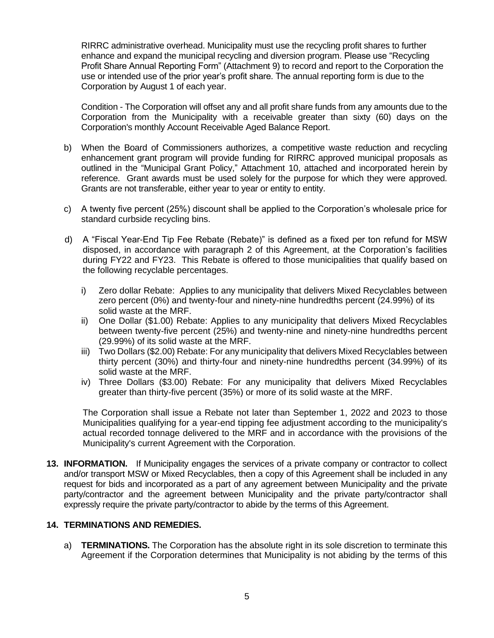RIRRC administrative overhead. Municipality must use the recycling profit shares to further enhance and expand the municipal recycling and diversion program. Please use "Recycling Profit Share Annual Reporting Form" (Attachment 9) to record and report to the Corporation the use or intended use of the prior year's profit share. The annual reporting form is due to the Corporation by August 1 of each year.

Condition - The Corporation will offset any and all profit share funds from any amounts due to the Corporation from the Municipality with a receivable greater than sixty (60) days on the Corporation's monthly Account Receivable Aged Balance Report.

- b) When the Board of Commissioners authorizes, a competitive waste reduction and recycling enhancement grant program will provide funding for RIRRC approved municipal proposals as outlined in the "Municipal Grant Policy," Attachment 10, attached and incorporated herein by reference. Grant awards must be used solely for the purpose for which they were approved. Grants are not transferable, either year to year or entity to entity.
- c) A twenty five percent (25%) discount shall be applied to the Corporation's wholesale price for standard curbside recycling bins.
- d) A "Fiscal Year-End Tip Fee Rebate (Rebate)" is defined as a fixed per ton refund for MSW disposed, in accordance with paragraph 2 of this Agreement, at the Corporation's facilities during FY22 and FY23. This Rebate is offered to those municipalities that qualify based on the following recyclable percentages.
	- i) Zero dollar Rebate: Applies to any municipality that delivers Mixed Recyclables between zero percent (0%) and twenty-four and ninety-nine hundredths percent (24.99%) of its solid waste at the MRF.
	- ii) One Dollar (\$1.00) Rebate: Applies to any municipality that delivers Mixed Recyclables between twenty-five percent (25%) and twenty-nine and ninety-nine hundredths percent (29.99%) of its solid waste at the MRF.
	- iii) Two Dollars (\$2.00) Rebate: For any municipality that delivers Mixed Recyclables between thirty percent (30%) and thirty-four and ninety-nine hundredths percent (34.99%) of its solid waste at the MRF.
	- iv) Three Dollars (\$3.00) Rebate: For any municipality that delivers Mixed Recyclables greater than thirty-five percent (35%) or more of its solid waste at the MRF.

The Corporation shall issue a Rebate not later than September 1, 2022 and 2023 to those Municipalities qualifying for a year-end tipping fee adjustment according to the municipality's actual recorded tonnage delivered to the MRF and in accordance with the provisions of the Municipality's current Agreement with the Corporation.

**13. INFORMATION.** If Municipality engages the services of a private company or contractor to collect and/or transport MSW or Mixed Recyclables, then a copy of this Agreement shall be included in any request for bids and incorporated as a part of any agreement between Municipality and the private party/contractor and the agreement between Municipality and the private party/contractor shall expressly require the private party/contractor to abide by the terms of this Agreement.

# **14. TERMINATIONS AND REMEDIES.**

a) **TERMINATIONS.** The Corporation has the absolute right in its sole discretion to terminate this Agreement if the Corporation determines that Municipality is not abiding by the terms of this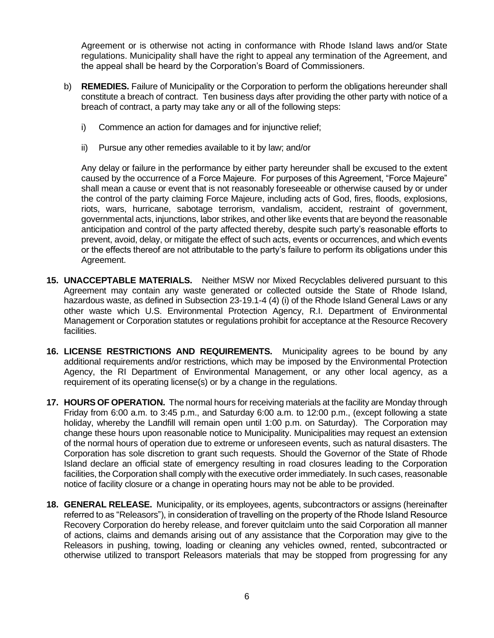Agreement or is otherwise not acting in conformance with Rhode Island laws and/or State regulations. Municipality shall have the right to appeal any termination of the Agreement, and the appeal shall be heard by the Corporation's Board of Commissioners.

- b) **REMEDIES.** Failure of Municipality or the Corporation to perform the obligations hereunder shall constitute a breach of contract. Ten business days after providing the other party with notice of a breach of contract, a party may take any or all of the following steps:
	- i) Commence an action for damages and for injunctive relief;
	- ii) Pursue any other remedies available to it by law; and/or

Any delay or failure in the performance by either party hereunder shall be excused to the extent caused by the occurrence of a Force Majeure. For purposes of this Agreement, "Force Majeure" shall mean a cause or event that is not reasonably foreseeable or otherwise caused by or under the control of the party claiming Force Majeure, including acts of God, fires, floods, explosions, riots, wars, hurricane, sabotage terrorism, vandalism, accident, restraint of government, governmental acts, injunctions, labor strikes, and other like events that are beyond the reasonable anticipation and control of the party affected thereby, despite such party's reasonable efforts to prevent, avoid, delay, or mitigate the effect of such acts, events or occurrences, and which events or the effects thereof are not attributable to the party's failure to perform its obligations under this Agreement.

- **15. UNACCEPTABLE MATERIALS.** Neither MSW nor Mixed Recyclables delivered pursuant to this Agreement may contain any waste generated or collected outside the State of Rhode Island, hazardous waste, as defined in Subsection 23-19.1-4 (4) (i) of the Rhode Island General Laws or any other waste which U.S. Environmental Protection Agency, R.I. Department of Environmental Management or Corporation statutes or regulations prohibit for acceptance at the Resource Recovery facilities.
- **16. LICENSE RESTRICTIONS AND REQUIREMENTS.** Municipality agrees to be bound by any additional requirements and/or restrictions, which may be imposed by the Environmental Protection Agency, the RI Department of Environmental Management, or any other local agency, as a requirement of its operating license(s) or by a change in the regulations.
- **17. HOURS OF OPERATION.** The normal hours for receiving materials at the facility are Monday through Friday from 6:00 a.m. to 3:45 p.m., and Saturday 6:00 a.m. to 12:00 p.m., (except following a state holiday, whereby the Landfill will remain open until 1:00 p.m. on Saturday). The Corporation may change these hours upon reasonable notice to Municipality. Municipalities may request an extension of the normal hours of operation due to extreme or unforeseen events, such as natural disasters. The Corporation has sole discretion to grant such requests. Should the Governor of the State of Rhode Island declare an official state of emergency resulting in road closures leading to the Corporation facilities, the Corporation shall comply with the executive order immediately. In such cases, reasonable notice of facility closure or a change in operating hours may not be able to be provided.
- **18. GENERAL RELEASE.** Municipality, or its employees, agents, subcontractors or assigns (hereinafter referred to as "Releasors"), in consideration of travelling on the property of the Rhode Island Resource Recovery Corporation do hereby release, and forever quitclaim unto the said Corporation all manner of actions, claims and demands arising out of any assistance that the Corporation may give to the Releasors in pushing, towing, loading or cleaning any vehicles owned, rented, subcontracted or otherwise utilized to transport Releasors materials that may be stopped from progressing for any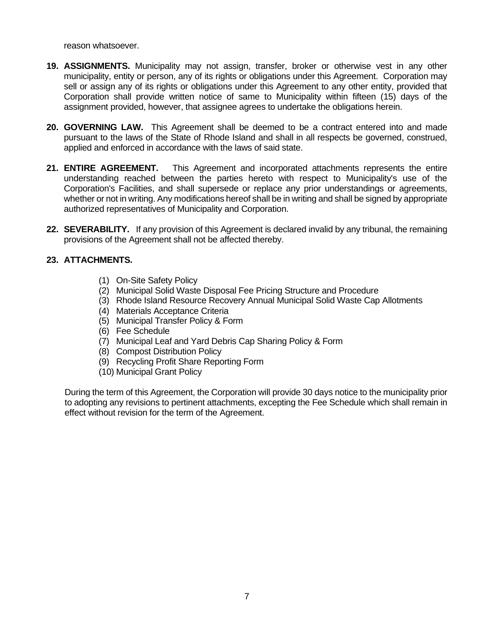reason whatsoever.

- **19. ASSIGNMENTS.** Municipality may not assign, transfer, broker or otherwise vest in any other municipality, entity or person, any of its rights or obligations under this Agreement. Corporation may sell or assign any of its rights or obligations under this Agreement to any other entity, provided that Corporation shall provide written notice of same to Municipality within fifteen (15) days of the assignment provided, however, that assignee agrees to undertake the obligations herein.
- **20. GOVERNING LAW.** This Agreement shall be deemed to be a contract entered into and made pursuant to the laws of the State of Rhode Island and shall in all respects be governed, construed, applied and enforced in accordance with the laws of said state.
- **21. ENTIRE AGREEMENT.** This Agreement and incorporated attachments represents the entire understanding reached between the parties hereto with respect to Municipality's use of the Corporation's Facilities, and shall supersede or replace any prior understandings or agreements, whether or not in writing. Any modifications hereof shall be in writing and shall be signed by appropriate authorized representatives of Municipality and Corporation.
- **22. SEVERABILITY.** If any provision of this Agreement is declared invalid by any tribunal, the remaining provisions of the Agreement shall not be affected thereby.

# **23. ATTACHMENTS.**

- (1) On-Site Safety Policy
- (2) Municipal Solid Waste Disposal Fee Pricing Structure and Procedure
- (3) Rhode Island Resource Recovery Annual Municipal Solid Waste Cap Allotments
- (4) Materials Acceptance Criteria
- (5) Municipal Transfer Policy & Form
- (6) Fee Schedule
- (7) Municipal Leaf and Yard Debris Cap Sharing Policy & Form
- (8) Compost Distribution Policy
- (9) Recycling Profit Share Reporting Form
- (10) Municipal Grant Policy

During the term of this Agreement, the Corporation will provide 30 days notice to the municipality prior to adopting any revisions to pertinent attachments, excepting the Fee Schedule which shall remain in effect without revision for the term of the Agreement.